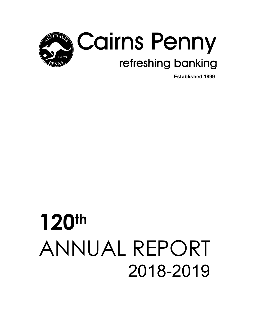

**Established 1899** 

# **120th** ANNUAL REPORT 2018-2019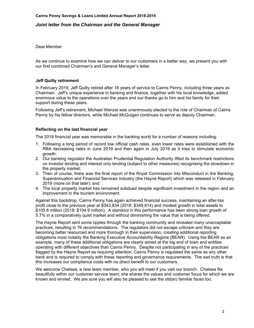#### *Joint letter from the Chairman and the General Manager*

Dear Member

As we continue to examine how we can deliver to our customers in a better way, we present you with our first combined Chairman's and General Manager's letter.

#### **Jeff Quilty retirement**

In February 2019, Jeff Quilty retired after 18 years of service to Cairns Penny, including three years as Chairman. Jeff's unique experience in banking and finance, together with his local knowledge, added enormous value to the operations over the years and our thanks go to him and his family for their support during these years.

Following Jeff's retirement, Michael Wenzel was unanimously elected to the role of Chairman of Cairns Penny by his fellow directors, while Michael McGuigan continues to serve as deputy Chairman.

#### **Reflecting on the last financial year**

The 2019 financial year was memorable in the banking world for a number of reasons including:

- 1. Following a long period of record low official cash rates, even lower rates were established with the RBA decreasing rates in June 2019 and then again in July 2019 as it tries to stimulate economic growth;
- 2. Our banking regulator the Australian Prudential Regulation Authority lifted its benchmark restrictions on investor lending and interest only lending (subject to other measures) recognising the slowdown in the property market;
- 3. Then of course, there was the final report of the Royal Commission into Misconduct in the Banking, Superannuation and Financial Services Industry (the Hayne Report) which was released in February 2019 (more on that later); and
- 4. The local property market has remained subdued despite significant investment in the region and an improvement in the tourism environment.

Against this backdrop, Cairns Penny has again achieved financial success, maintaining an after-tax profit close to the previous year at \$343,834 (2018: \$349,814) and modest growth in total assets to \$105.6 million (2018: \$104.9 million). A standout in this performance has been strong loan growth of 5.7% in a comparatively quiet market and without diminishing the value that is being offered.

The Hayne Report sent some ripples through the banking community and revealed many unacceptable practices, resulting in 76 recommendations. The regulators did not escape criticism and they are becoming better resourced and more thorough in their supervision, creating additional reporting obligations most notably the Banking Executive Accountability Regime (BEAR). Using the BEAR as an example, many of these additional obligations are clearly aimed at the big end of town and entities operating with different objectives than Cairns Penny. Despite not participating in any of the practices flagged by the Hayne Report as requiring attention, Cairns Penny is regulated the same as any other bank and is required to comply with these reporting and governance requirements. The sad truth is that this increases our compliance costs with no direct benefit to our customers.

We welcome Chelsea, a new team member, who you will meet if you visit our branch. Chelsea fits beautifully within our customer service team; she shares the values and customer focus for which we are known and envied. We are sure you will also be pleased to see the old(er) familiar faces too.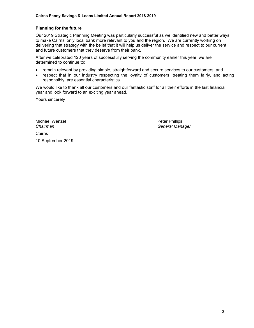#### **Planning for the future**

Our 2019 Strategic Planning Meeting was particularly successful as we identified new and better ways to make Cairns' only local bank more relevant to you and the region. We are currently working on delivering that strategy with the belief that it will help us deliver the service and respect to our current and future customers that they deserve from their bank.

After we celebrated 120 years of successfully serving the community earlier this year, we are determined to continue to:

- remain relevant by providing simple, straightforward and secure services to our customers; and
- respect that in our industry respecting the loyalty of customers, treating them fairly, and acting responsibly, are essential characteristics.

We would like to thank all our customers and our fantastic staff for all their efforts in the last financial year and look forward to an exciting year ahead.

Yours sincerely

Michael Wenzel **Peter Phillips Cairns** 10 September 2019

*Chairman General Manager*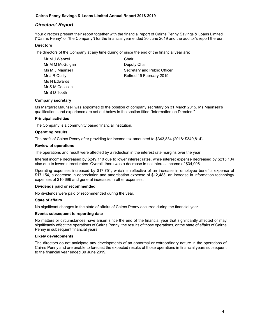#### *Directors' Report*

Your directors present their report together with the financial report of Cairns Penny Savings & Loans Limited ("Cairns Penny" or "the Company") for the financial year ended 30 June 2019 and the auditor's report thereon.

#### **Directors**

The directors of the Company at any time during or since the end of the financial year are:

Mr M J Wenzel **Chair** Mr M M McGuigan Deputy Chair Ms N Edwards Mr S M Coolican Mr B D Tooth

Ms M J Maunsell **Maundell** Secretary and Public Officer Mr J R Quilty **Retired 19 February 2019** 

#### **Company secretary**

Ms Margaret Maunsell was appointed to the position of company secretary on 31 March 2015. Ms Maunsell's qualifications and experience are set out below in the section titled "Information on Directors".

#### **Principal activities**

The Company is a community based financial institution.

#### **Operating results**

The profit of Cairns Penny after providing for income tax amounted to \$343,834 (2018: \$349,814).

#### **Review of operations**

The operations and result were affected by a reduction in the interest rate margins over the year.

Interest income decreased by \$249,110 due to lower interest rates, while interest expense decreased by \$215,104 also due to lower interest rates. Overall, there was a decrease in net interest income of \$34,006.

Operating expenses increased by \$17,751, which is reflective of an increase in employee benefits expense of \$17,154, a decrease in depreciation and amortisation expense of \$12,483, an increase in information technology expenses of \$10,696 and general increases in other expenses.

#### **Dividends paid or recommended**

No dividends were paid or recommended during the year.

#### **State of affairs**

No significant changes in the state of affairs of Cairns Penny occurred during the financial year.

#### **Events subsequent to reporting date**

No matters or circumstances have arisen since the end of the financial year that significantly affected or may significantly affect the operations of Cairns Penny, the results of those operations, or the state of affairs of Cairns Penny in subsequent financial years.

#### **Likely developments**

The directors do not anticipate any developments of an abnormal or extraordinary nature in the operations of Cairns Penny and are unable to forecast the expected results of those operations in financial years subsequent to the financial year ended 30 June 2019.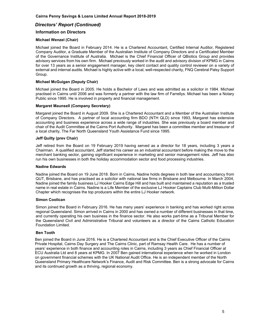#### *Directors' Report (Continued)*

#### **Information on Directors**

#### **Michael Wenzel (Chair)**

Michael joined the Board in February 2014. He is a Chartered Accountant, Certified Internal Auditor, Registered Company Auditor, a Graduate Member of the Australian Institute of Company Directors and a Certificated Member of the Governance Institute of Australia. Michael is the Chief Financial Officer of QBiotics Group and provides advisory services from his own firm. Michael previously worked in the audit and advisory division of KPMG in Cairns for over 13 years as a senior engagement manager, key client contact and quality control reviewer on a variety of external and internal audits. Michael is highly active with a local, well-respected charity, FNQ Cerebral Palsy Support Group.

#### **Michael McGuigan (Deputy Chair)**

Michael joined the Board in 2005. He holds a Bachelor of Laws and was admitted as a solicitor in 1984. Michael practised in Cairns until 2006 and was formerly a partner with the law firm of Farrellys. Michael has been a Notary Public since 1995. He is involved in property and financial management.

#### **Margaret Maunsell (Company Secretary)**

Margaret joined the Board in August 2009. She is a Chartered Accountant and a Member of the Australian Institute of Company Directors. A partner of local accounting firm BDO (NTH QLD) since 1993, Margaret has extensive accounting and business experience across a wide range of industries. She was previously a board member and chair of the Audit Committee at the Cairns Port Authority. Margaret has been a committee member and treasurer of a local charity, The Far North Queensland Youth Assistance Fund since 1995.

#### **Jeff Quilty (prev Chair)**

Jeff retired from the Board on 19 February 2019 having served as a director for 18 years, including 3 years a Chairman. A qualified accountant, Jeff started his career as an industrial accountant before making the move to the merchant banking sector, gaining significant experience in marketing and senior management roles. Jeff has also run his own businesses in both the holiday accommodation sector and food processing industries.

#### **Nadine Edwards**

Nadine joined the Board on 19 June 2018. Born in Cairns, Nadine holds degrees in both law and accountancy from QUT, Brisbane, and has practised as a solicitor with national law firms in Brisbane and Melbourne. In March 2004, Nadine joined the family business LJ Hooker Cairns Edge Hill and has built and maintained a reputation as a trusted name in real estate in Cairns. Nadine is a Life Member of the exclusive LJ Hooker Captains Club Multi-Million Dollar Chapter which recognises the top producers within the entire LJ Hooker network.

#### **Simon Coolican**

Simon joined the Board in February 2016. He has many years' experience in banking and has worked right across regional Queensland. Simon arrived in Cairns in 2000 and has owned a number of different businesses in that time, and currently operating his own business in the finance sector. He also works part-time as a Tribunal Member for the Queensland Civil and Administrative Tribunal and volunteers as a director of the Cairns Catholic Education Foundation Limited.

#### **Ben Tooth**

Ben joined the Board in June 2016. He is a Chartered Accountant and is the Chief Executive Officer of the Cairns Private Hospital, Cairns Day Surgery and The Cairns Clinic, part of Ramsay Health Care. He has a number of years' experience in both finance and accounting roles in Cairns, including 3 years as Chief Financial Officer at ECU Australia Ltd and 8 years at KPMG. In 2007 Ben gained international experience when he worked in London on government financial schemes with the UK National Audit Office. He is an independent member of the North Queensland Primary Healthcare Network's Finance, Audit and Risk Committee. Ben is a strong advocate for Cairns and its continued growth as a thriving, regional economy.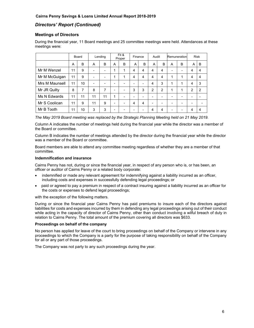#### *Directors' Report (Continued)*

#### **Meetings of Directors**

During the financial year, 11 Board meetings and 25 committee meetings were held. Attendances at these meetings were:

|                |    | Board |                          | Lending |                          | Fit &<br>Proper |   | Finance | Audit |   |   | Remuneration             |                | <b>Risk</b>    |
|----------------|----|-------|--------------------------|---------|--------------------------|-----------------|---|---------|-------|---|---|--------------------------|----------------|----------------|
|                | A  | B     | A                        | B       | A                        | B               | A | B       | A     | B | A | B                        | A              | B              |
| Mr M Wenzel    | 11 | 9     | -                        | ٠       | 1                        | 1               | 4 | 4       | 4     | 4 | - | $\overline{\phantom{0}}$ | 4              | $\overline{4}$ |
| Mr M McGuigan  | 11 | 9     | -                        | ۰       | 1                        | 1               | 4 | 4       | 4     | 4 | 1 | 1                        | 4              | $\overline{4}$ |
| Mrs M Maunsell | 11 | 10    | $\overline{\phantom{0}}$ | -       | $\overline{\phantom{0}}$ | -               | - |         | 4     | 3 | 1 | 1                        | 4              | 3              |
| Mr JR Quilty   | 8  | 7     | 8                        | 7       | $\overline{\phantom{0}}$ |                 | 3 | 3       | 2     | 2 | 1 | 1                        | $\overline{2}$ | $\overline{2}$ |
| Ms N Edwards   | 11 | 11    | 11                       | 11      | 1                        |                 | ۰ |         |       | - |   | ۰                        | -              |                |
| Mr S Coolican  | 11 | 9     | 11                       | 9       | -                        |                 | 4 | 4       | -     | - |   | ۰                        | -              |                |
| Mr B Tooth     | 11 | 10    | 3                        | 3       | -                        |                 |   |         | 4     | 4 |   |                          | 4              | 4              |

*The May 2019 Board meeting was replaced by the Strategic Planning Meeting held on 21 May 2019.* 

Column A indicates the number of meetings held during the financial year while the director was a member of the Board or committee.

Column B indicates the number of meetings attended by the director during the financial year while the director was a member of the Board or committee.

Board members are able to attend any committee meeting regardless of whether they are a member of that committee.

#### **Indemnification and insurance**

Cairns Penny has not, during or since the financial year, in respect of any person who is, or has been, an officer or auditor of Cairns Penny or a related body corporate:

- indemnified or made any relevant agreement for indemnifying against a liability incurred as an officer, including costs and expenses in successfully defending legal proceedings; or
- paid or agreed to pay a premium in respect of a contract insuring against a liability incurred as an officer for the costs or expenses to defend legal proceedings;

with the exception of the following matters.

During or since the financial year Cairns Penny has paid premiums to insure each of the directors against liabilities for costs and expenses incurred by them in defending any legal proceedings arising out of their conduct while acting in the capacity of director of Cairns Penny, other than conduct involving a wilful breach of duty in relation to Cairns Penny. The total amount of the premium covering all directors was \$633.

#### **Proceedings on behalf of the company**

No person has applied for leave of the court to bring proceedings on behalf of the Company or intervene in any proceedings to which the Company is a party for the purpose of taking responsibility on behalf of the Company for all or any part of those proceedings.

The Company was not party to any such proceedings during the year.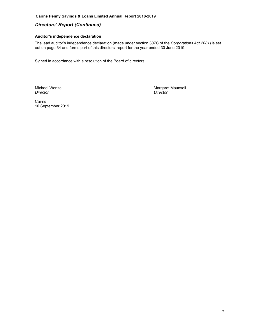#### **Cairns Penny Savings & Loans Limited Annual Report 2018-2019**

#### *Directors' Report (Continued)*

#### **Auditor's independence declaration**

The lead auditor's independence declaration (made under section 307C of the *Corporations Act 2001*) is set out on page 34 and forms part of this directors' report for the year ended 30 June 2019.

Signed in accordance with a resolution of the Board of directors.

Michael Wenzel Margaret Maunsell *Director Director* 

Cairns 10 September 2019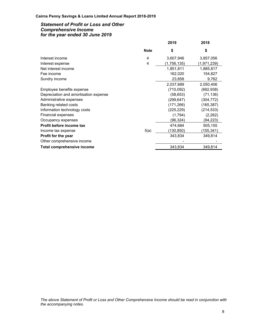#### *Statement of Profit or Loss and Other Comprehensive Income for the year ended 30 June 2019*

|             | 2019        | 2018        |
|-------------|-------------|-------------|
| <b>Note</b> | \$          | \$          |
| 4           | 3,607,946   | 3,857,056   |
| 4           | (1,756,135) | (1,971,239) |
|             | 1,851,811   | 1,885,817   |
|             | 162,020     | 154,827     |
|             | 23,858      | 9,762       |
|             | 2,037,689   | 2,050,406   |
|             | (710,092)   | (692, 938)  |
|             | (58, 653)   | (71,136)    |
|             | (299, 647)  | (304, 772)  |
|             | (171, 266)  | (165, 387)  |
|             | (225, 229)  | (214, 533)  |
|             | (1,794)     | (2,262)     |
|             | (96, 324)   | (94,223)    |
|             | 474,684     | 505,155     |
| 5(a)        | (130,850)   | (155,341)   |
|             | 343,834     | 349,814     |
|             |             |             |
|             | 343,834     | 349,814     |
|             |             |             |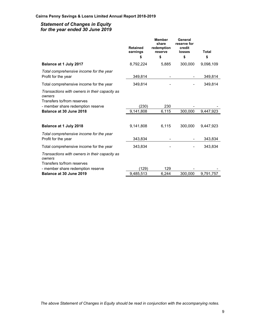#### *Statement of Changes in Equity for the year ended 30 June 2019*

|                                                                                                                                                       | <b>Retained</b><br>earnings<br>\$ | <b>Member</b><br>share<br>redemption<br>reserve<br>\$ | General<br>reserve for<br>credit<br><b>losses</b><br>\$ | Total<br>\$ |
|-------------------------------------------------------------------------------------------------------------------------------------------------------|-----------------------------------|-------------------------------------------------------|---------------------------------------------------------|-------------|
| Balance at 1 July 2017                                                                                                                                | 8,792,224                         | 5,885                                                 | 300,000                                                 | 9,098,109   |
| Total comprehensive income for the year<br>Profit for the year                                                                                        | 349,814                           |                                                       |                                                         | 349,814     |
| Total comprehensive income for the year                                                                                                               | 349,814                           |                                                       |                                                         | 349,814     |
| Transactions with owners in their capacity as<br>owners<br>Transfers to/from reserves<br>- member share redemption reserve<br>Balance at 30 June 2018 | (230)<br>9,141,808                | 230<br>6,115                                          | 300,000                                                 | 9,447,923   |
| Balance at 1 July 2018                                                                                                                                | 9,141,808                         | 6,115                                                 | 300,000                                                 | 9,447,923   |
| Total comprehensive income for the year<br>Profit for the year                                                                                        | 343,834                           |                                                       |                                                         | 343,834     |
| Total comprehensive income for the year                                                                                                               | 343,834                           |                                                       |                                                         | 343,834     |
| Transactions with owners in their capacity as<br>owners<br>Transfers to/from reserves<br>- member share redemption reserve                            | (129)                             | 129                                                   |                                                         |             |
| Balance at 30 June 2019                                                                                                                               | 9,485,513                         | 6,244                                                 | 300,000                                                 | 9,791,757   |

*The above Statement of Changes in Equity should be read in conjunction with the accompanying notes.*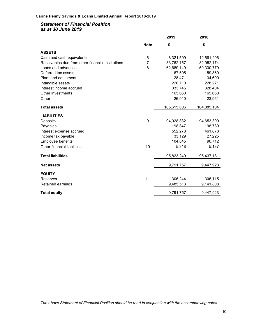#### *Statement of Financial Position as at 30 June 2019*

|                                                   |             | 2019        | 2018        |
|---------------------------------------------------|-------------|-------------|-------------|
|                                                   | <b>Note</b> | \$          | \$          |
| <b>ASSETS</b>                                     |             |             |             |
| Cash and cash equivalents                         | 6           | 8,321,599   | 12,661,296  |
| Receivables due from other financial institutions | 7           | 33,762,157  | 32,052,174  |
| Loans and advances                                | 8           | 62,689,149  | 59,330,779  |
| Deferred tax assets                               |             | 67,505      | 59,869      |
| Plant and equipment                               |             | 28,471      | 34,690      |
| Intangible assets                                 |             | 220,710     | 228,271     |
| Interest income accrued                           |             | 333,745     | 328,404     |
| Other investments                                 |             | 165,660     | 165,660     |
| Other                                             |             | 26,010      | 23,961      |
| <b>Total assets</b>                               |             | 105,615,006 | 104,885,104 |
| <b>LIABILITIES</b>                                |             |             |             |
| Deposits                                          | 9           | 94,928,832  | 94,653,390  |
| Payables                                          |             | 198,847     | 198,789     |
| Interest expense accrued                          |             | 552,278     | 461,878     |
| Income tax payable                                |             | 33,129      | 27,225      |
| Employee benefits                                 |             | 104,845     | 90,712      |
| Other financial liabilities                       | 10          | 5,318       | 5,187       |
| <b>Total liabilities</b>                          |             | 95,823,249  | 95,437,181  |
| <b>Net assets</b>                                 |             | 9,791,757   | 9,447,923   |
| <b>EQUITY</b>                                     |             |             |             |
| Reserves                                          | 11          | 306,244     | 306,115     |
| Retained earnings                                 |             | 9,485,513   | 9,141,808   |
|                                                   |             |             |             |
| <b>Total equity</b>                               |             | 9,791,757   | 9,447,923   |
|                                                   |             |             |             |

*The above Statement of Financial Position should be read in conjunction with the accompanying notes.*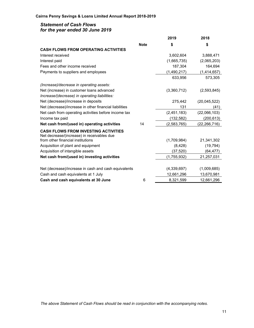#### *Statement of Cash Flows for the year ended 30 June 2019*

|                                                                                 |             | 2019        | 2018           |
|---------------------------------------------------------------------------------|-------------|-------------|----------------|
|                                                                                 | <b>Note</b> | \$          | \$             |
| <b>CASH FLOWS FROM OPERATING ACTIVITIES</b>                                     |             |             |                |
| Interest received                                                               |             | 3,602,604   | 3,888,471      |
| Interest paid                                                                   |             | (1,665,735) | (2,065,203)    |
| Fees and other income received                                                  |             | 187,304     | 164,694        |
| Payments to suppliers and employees                                             |             | (1,490,217) | (1,414,657)    |
|                                                                                 |             | 633,956     | 573,305        |
| (Increase)/decrease in operating assets:                                        |             |             |                |
| Net (increase) in customer loans advanced                                       |             | (3,360,712) | (2,593,845)    |
| Increase/(decrease) in operating liabilities:                                   |             |             |                |
| Net (decrease)/increase in deposits                                             |             | 275,442     | (20,045,522)   |
| Net (decrease)/increase in other financial liabilities                          |             | 131         | (41)           |
| Net cash from operating activities before income tax                            |             | (2,451,183) | (22,066,103)   |
| Income tax paid                                                                 |             | (132, 582)  | (200, 613)     |
| Net cash from/(used in) operating activities                                    | 14          | (2,583,765) | (22, 266, 716) |
| <b>CASH FLOWS FROM INVESTING ACTIVITIES</b>                                     |             |             |                |
| Net decrease/(increase) in receivables due<br>from other financial institutions |             | (1,709,984) | 21,341,302     |
| Acquisition of plant and equipment                                              |             | (8, 428)    | (19, 794)      |
| Acquisition of intangible assets                                                |             | (37, 520)   | (64,477)       |
| Net cash from/(used in) investing activities                                    |             | (1,755,932) | 21,257,031     |
|                                                                                 |             |             |                |
| Net (decrease)/increase in cash and cash equivalents                            |             | (4,339,697) | (1,009,685)    |
| Cash and cash equivalents at 1 July                                             |             | 12,661,296  | 13,670,981     |
| Cash and cash equivalents at 30 June                                            | 6           | 8,321,599   | 12,661,296     |
|                                                                                 |             |             |                |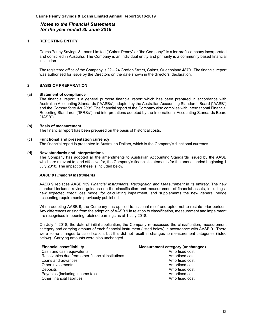#### **1 REPORTING ENTITY**

Cairns Penny Savings & Loans Limited ("Cairns Penny" or "the Company") is a for-profit company incorporated and domiciled in Australia. The Company is an individual entity and primarily is a community based financial institution.

The registered office of the Company is 22 – 24 Grafton Street, Cairns, Queensland 4870. The financial report was authorised for issue by the Directors on the date shown in the directors' declaration.

#### **2 BASIS OF PREPARATION**

#### **(a) Statement of compliance**

The financial report is a general purpose financial report which has been prepared in accordance with Australian Accounting Standards ("AASBs") adopted by the Australian Accounting Standards Board ("AASB") and the *Corporations Act 2001*. The financial report of the Company also complies with International Financial Reporting Standards ("IFRSs") and interpretations adopted by the International Accounting Standards Board ("IASB").

#### **(b) Basis of measurement**

The financial report has been prepared on the basis of historical costs.

#### **(c) Functional and presentation currency**

The financial report is presented in Australian Dollars, which is the Company's functional currency.

#### **(d) New standards and interpretations**

The Company has adopted all the amendments to Australian Accounting Standards issued by the AASB which are relevant to, and effective for, the Company's financial statements for the annual period beginning 1 July 2018. The impact of these is included below.

#### *AASB 9 Financial Instruments*

AASB 9 replaces AASB 139 *Financial Instruments: Recognition and Measurement* in its entirety. The new standard includes revised guidance on the classification and measurement of financial assets, including a new expected credit loss model for calculating impairment, and supplements the new general hedge accounting requirements previously published.

When adopting AASB 9, the Company has applied transitional relief and opted not to restate prior periods. Any differences arising from the adoption of AASB 9 in relation to classification, measurement and impairment are recognised in opening retained earnings as at 1 July 2018.

On July 1 2018, the date of initial application, the Company re-assessed the classification, measurement category and carrying amount of each financial instrument (listed below) in accordance with AASB 9. There were some changes to classification, but this did not result in changes to measurement categories (listed below). Carrying amounts were also unchanged.

| <b>Financial asset/liability</b>                  | Measurement category (unchanged) |
|---------------------------------------------------|----------------------------------|
| Cash and cash equivalents                         | Amortised cost                   |
| Receivables due from other financial institutions | Amortised cost                   |
| Loans and advances                                | Amortised cost                   |
| Other investments                                 | Amortised cost                   |
| Deposits                                          | Amortised cost                   |
| Payables (including income tax)                   | Amortised cost                   |
| Other financial liabilities                       | Amortised cost                   |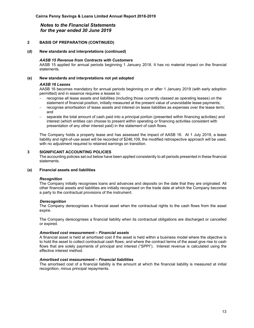#### **2 BASIS OF PREPARATION (CONTINUED)**

#### **(d) New standards and interpretations (continued)**

#### *AASB 15 Revenue from Contracts with Customers*

AASB 15 applied for annual periods beginning 1 January 2018. It has no material impact on the financial statements.

#### **(e) New standards and interpretations not yet adopted**

#### *AASB 16 Leases*

AASB 16 becomes mandatory for annual periods beginning on or after 1 January 2019 (with early adoption permitted) and in essence requires a lessee to:

- recognise all lease assets and liabilities (including those currently classed as operating leases) on the statement of financial position, initially measured at the present value of unavoidable lease payments;
- recognise amortisation of lease assets and interest on lease liabilities as expenses over the lease term; and
- separate the total amount of cash paid into a principal portion (presented within financing activities) and interest (which entities can choose to present within operating or financing activities consistent with presentation of any other interest paid) in the statement of cash flows.

The Company holds a property lease and has assessed the impact of AASB 16. At 1 July 2019, a lease liability and right-of-use asset will be recorded of \$246,109, the modified retrospective approach will be used, with no adjustment required to retained earnings on transition.

#### **3 SIGNIFICANT ACCOUNTING POLICIES**

The accounting policies set out below have been applied consistently to all periods presented in these financial statements.

#### **(a) Financial assets and liabilities**

#### *Recognition*

The Company initially recognises loans and advances and deposits on the date that they are originated. All other financial assets and liabilities are initially recognised on the trade date at which the Company becomes a party to the contractual provisions of the instrument.

#### *Derecognition*

The Company derecognises a financial asset when the contractual rights to the cash flows from the asset expire.

The Company derecognises a financial liability when its contractual obligations are discharged or cancelled or expired.

#### *Amortised cost measurement – Financial assets*

A financial asset is held at amortised cost if the asset is held within a business model where the objective is to hold the asset to collect contractual cash flows, and where the contract terms of the asset give rise to cash flows that are solely payments of principal and interest ("SPPI"). Interest revenue is calculated using the effective interest method.

#### *Amortised cost measurement – Financial liabilities*

The amortised cost of a financial liability is the amount at which the financial liability is measured at initial recognition, minus principal repayments.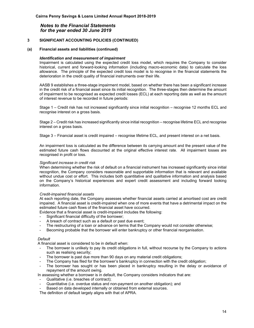#### **3 SIGNIFICANT ACCOUNTING POLICIES (CONTINUED)**

#### **(a) Financial assets and liabilities (continued)**

#### *Identification and measurement of impairment*

Impairment is calculated using the expected credit loss model, which requires the Company to consider historical, current and forward-looking information (including macro-economic data) to calculate the loss allowance. The principle of the expected credit loss model is to recognise in the financial statements the deterioration in the credit quality of financial instruments over their life.

AASB 9 establishes a three-stage impairment model, based on whether there has been a significant increase in the credit risk of a financial asset since its initial recognition. The three-stages then determine the amount of impairment to be recognised as expected credit losses (ECL) at each reporting date as well as the amount of interest revenue to be recorded in future periods:

Stage 1 – Credit risk has not increased significantly since initial recognition – recognise 12 months ECL and recognise interest on a gross basis.

Stage 2 – Credit risk has increased significantly since initial recognition – recognise lifetime ECL and recognise interest on a gross basis.

Stage 3 – Financial asset is credit impaired – recognise lifetime ECL, and present interest on a net basis.

An impairment loss is calculated as the difference between its carrying amount and the present value of the estimated future cash flows discounted at the original effective interest rate. All impairment losses are recognised in profit or loss.

#### *Significant increase in credit risk*

When determining whether the risk of default on a financial instrument has increased significantly since initial recognition, the Company considers reasonable and supportable information that is relevant and available without undue cost or effort. This includes both quantitative and qualitative information and analysis based on the Company's historical experiences and expert credit assessment and including forward looking information.

#### *Credit-impaired financial assets*

At each reporting date, the Company assesses whether financial assets carried at amortised cost are credit impaired. A financial asset is credit-impaired when one of more events that have a detrimental impact on the estimated future cash flows of the financial asset have occurred.

Evidence that a financial asset is credit-impaired includes the following:

- Significant financial difficulty of the borrower;
- A breach of contract such as a default or past due event;
- The restructuring of a loan or advance on terms that the Company would not consider otherwise;
- Becoming probable that the borrower will enter bankruptcy or other financial reorganisation.

#### *Default*

A financial asset is considered to be in default when:

- The borrower is unlikely to pay its credit obligations in full, without recourse by the Company to actions such as realising security;
- The borrower is past due more than 90 days on any material credit obligations;
- The Company has filed for the borrower's bankruptcy in connection with the credit obligation;
- The borrower has sought or has been placed in bankruptcy resulting in the delay or avoidance of repayment of the amount owing.

In assessing whether a borrower is in default, the Company considers indicators that are:

- Qualitative (i.e. breaches of contract);
- Quantitative (i.e. overdue status and non-payment on another obligation); and
- Based on data developed internally or obtained from external sources.

The definition of default largely aligns with that of APRA.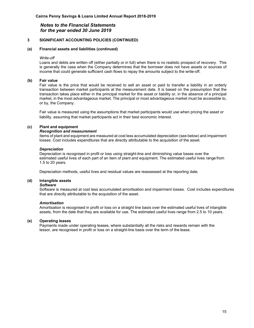#### **3 SIGNIFICANT ACCOUNTING POLICIES (CONTINUED)**

#### **(a) Financial assets and liabilities (continued)**

#### *Write-off*

Loans and debts are written off (either partially or in full) when there is no realistic prospect of recovery. This is generally the case when the Company determines that the borrower does not have assets or sources of income that could generate sufficient cash flows to repay the amounts subject to the write-off.

#### **(b) Fair value**

Fair value is the price that would be received to sell an asset or paid to transfer a liability in an orderly transaction between market participants at the measurement date. It is based on the presumption that the transaction takes place either in the principal market for the asset or liability or, in the absence of a principal market, in the most advantageous market. The principal or most advantageous market must be accessible to, or by, the Company.

Fair value is measured using the assumptions that market participants would use when pricing the asset or liability, assuming that market participants act in their best economic interest.

#### **(c) Plant and equipment**

#### *Recognition and measurement*

Items of plant and equipment are measured at cost less accumulated depreciation (see below) and impairment losses. Cost includes expenditures that are directly attributable to the acquisition of the asset.

#### *Depreciation*

Depreciation is recognised in profit or loss using straight-line and diminishing value bases over the estimated useful lives of each part of an item of plant and equipment. The estimated useful lives range from 1.5 to 20 years.

Depreciation methods, useful lives and residual values are reassessed at the reporting date.

#### **(d) Intangible assets**

#### *Software*

Software is measured at cost less accumulated amortisation and impairment losses. Cost includes expenditures that are directly attributable to the acquisition of the asset.

#### *Amortisation*

Amortisation is recognised in profit or loss on a straight line basis over the estimated useful lives of intangible assets, from the date that they are available for use. The estimated useful lives range from 2.5 to 10 years.

#### **(e) Operating leases**

Payments made under operating leases, where substantially all the risks and rewards remain with the lessor, are recognised in profit or loss on a straight-line basis over the term of the lease.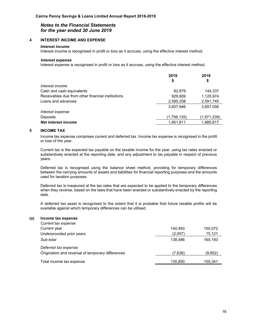#### **4 INTEREST INCOME AND EXPENSE**

#### *Interest income*

Interest income is recognised in profit or loss as it accrues, using the effective interest method.

#### *Interest expense*

Interest expense is recognised in profit or loss as it accrues, using the effective interest method.

|                                                   | 2019<br>\$  | 2018<br>\$  |
|---------------------------------------------------|-------------|-------------|
| Interest income                                   |             |             |
| Cash and cash equivalents                         | 92,879      | 144,337     |
| Receivables due from other financial institutions | 929,809     | 1,120,974   |
| Loans and advances                                | 2,585,258   | 2,591,745   |
|                                                   | 3,607,946   | 3,857,056   |
| Interest expense                                  |             |             |
| <b>Deposits</b>                                   | (1,756,135) | (1,971,239) |
| Net interest income                               | 1,851,811   | 1,885,817   |

#### **5 INCOME TAX**

Income tax expense comprises current and deferred tax. Income tax expense is recognised in the profit or loss of the year.

Current tax is the expected tax payable on the taxable income for the year, using tax rates enacted or substantively enacted at the reporting date, and any adjustment to tax payable in respect of previous years.

Deferred tax is recognised using the balance sheet method, providing for temporary differences between the carrying amounts of assets and liabilities for financial reporting purposes and the amounts used for taxation purposes.

Deferred tax is measured at the tax rates that are expected to be applied to the temporary differences when they reverse, based on the laws that have been enacted or substantively enacted by the reporting date.

A deferred tax asset is recognised to the extent that it is probable that future taxable profits will be available against which temporary differences can be utilised.

#### **(a) Income tax expense**

| Current tax expense                               |         |         |
|---------------------------------------------------|---------|---------|
| Current year                                      | 140.493 | 150,072 |
| Underprovided prior years                         | (2.007) | 15,121  |
| Sub-total                                         | 138.486 | 165.193 |
| Deferred tax expense                              |         |         |
| Origination and reversal of temporary differences | (7.636) | (9,852) |
| Total income tax expense                          | 130.850 | 155.341 |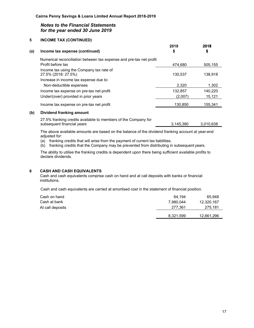#### **5 INCOME TAX (CONTINUED)**

| (a) | Income tax expense (continued)                                      | 2019<br>\$ | 2018<br>\$ |
|-----|---------------------------------------------------------------------|------------|------------|
|     | Numerical reconciliation between tax expense and pre-tax net profit |            |            |
|     | Profit before tax                                                   | 474,680    | 505,155    |
|     | Income tax using the Company tax rate of<br>27.5% (2018: 27.5%)     | 130,537    | 138.918    |
|     | Increase in income tax expense due to:                              |            |            |
|     | Non-deductible expenses                                             | 2,320      | 1,302      |
|     | Income tax expense on pre-tax net profit                            | 132,857    | 140.220    |
|     | Under/(over) provided in prior years                                | (2,007)    | 15,121     |
|     | Income tax expense on pre-tax net profit                            | 130,850    | 155.341    |
|     |                                                                     |            |            |

#### **(b) Dividend franking amount**

27.5% franking credits available to members of the Company for subsequent financial years 3,145,380 3,010,638

The above available amounts are based on the balance of the dividend franking account at year-end adjusted for:

- (a) franking credits that will arise from the payment of current tax liabilities.
- (b) franking credits that the Company may be prevented from distributing in subsequent years.

The ability to utilise the franking credits is dependent upon there being sufficient available profits to declare dividends.

#### **6 CASH AND CASH EQUIVALENTS**

Cash and cash equivalents comprise cash on hand and at call deposits with banks or financial institutions.

Cash and cash equivalents are carried at amortised cost in the statement of financial position.

| Cash on hand     | 64.194    | 65.948     |
|------------------|-----------|------------|
| Cash at bank     | 7,980,044 | 12,320,167 |
| At call deposits | 277.361   | 275,181    |
|                  | 8,321,599 | 12,661,296 |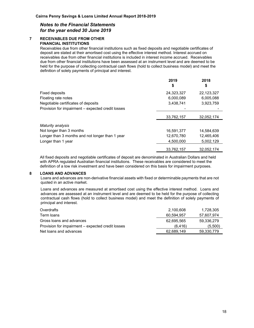#### **7 RECEIVABLES DUE FROM OTHER FINANCIAL INSTITUTIONS**

Receivables due from other financial institutions such as fixed deposits and negotiable certificates of deposit are stated at their amortised cost using the effective interest method. Interest accrued on receivables due from other financial institutions is included in interest income accrued. Receivables due from other financial institutions have been assessed at an instrument level and are deemed to be held for the purpose of collecting contractual cash flows (hold to collect business model) and meet the definition of solely payments of principal and interest.

|                                                   | 2019<br>\$ | 2018<br>\$ |
|---------------------------------------------------|------------|------------|
| Fixed deposits                                    | 24,323,327 | 22,123,327 |
| Floating rate notes                               | 6,000,089  | 6,005,088  |
| Negotiable certificates of deposits               | 3,438,741  | 3,923,759  |
| Provision for impairment - expected credit losses |            |            |
|                                                   | 33,762,157 | 32,052,174 |
| Maturity analysis                                 |            |            |
| Not longer than 3 months                          | 16,591,377 | 14,584,639 |
| Longer than 3 months and not longer than 1 year   | 12,670,780 | 12,465,406 |
| Longer than 1 year                                | 4,500,000  | 5,002,129  |
|                                                   | 33,762,157 | 32,052,174 |

All fixed deposits and negotiable certificates of deposit are denominated in Australian Dollars and held with APRA regulated Australian financial institutions. These receivables are considered to meet the definition of a low risk investment and have been considered on this basis for impairment purposes.

#### **8 LOANS AND ADVANCES**

Loans and advances are non-derivative financial assets with fixed or determinable payments that are not quoted in an active market.

Loans and advances are measured at amortised cost using the effective interest method. Loans and advances are assessed at an instrument level and are deemed to be held for the purpose of collecting contractual cash flows (hold to collect business model) and meet the definition of solely payments of principal and interest.

| Overdrafts                                        | 2,100,608  | 1,728,305  |
|---------------------------------------------------|------------|------------|
| Term loans                                        | 60.594.957 | 57,607,974 |
| Gross loans and advances                          | 62.695.565 | 59.336.279 |
| Provision for impairment – expected credit losses | (6.416)    | (5,500)    |
| Net loans and advances                            | 62.689.149 | 59,330,779 |
|                                                   |            |            |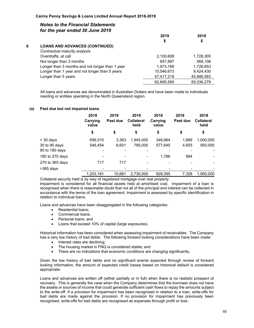|   |                                                 | 2019       | 2018       |  |
|---|-------------------------------------------------|------------|------------|--|
|   |                                                 | S          | \$         |  |
| 8 | <b>LOANS AND ADVANCES (CONTINUED)</b>           |            |            |  |
|   | Contractual maturity analysis                   |            |            |  |
|   | Overdrafts, at call                             | 2,100,608  | 1,728,305  |  |
|   | Not longer than 3 months                        | 657,897    | 568,108    |  |
|   | Longer than 3 months and not longer than 1 year | 1,973,168  | 1,728,853  |  |
|   | Longer than 1 year and not longer than 5 years  | 10,546,673 | 9,424,430  |  |
|   | Longer than 5 years                             | 47,417,219 | 45,886,583 |  |
|   |                                                 | 62,695,565 | 59,336,279 |  |
|   |                                                 |            |            |  |

All loans and advances are denominated in Australian Dollars and have been made to individuals residing or entities operating in the North Queensland region.

#### **(a) Past due but not impaired loans**

|                 | 2019<br>Carrying<br>value | 2019<br>Past due | 2019<br><b>Collateral</b><br>held | 2018<br>Carrying<br>value | 2018<br>Past due | 2018<br>Collateral<br>held |
|-----------------|---------------------------|------------------|-----------------------------------|---------------------------|------------------|----------------------------|
|                 | \$                        | \$               | \$                                | \$                        | \$               | \$                         |
| $<$ 30 days     | 656,010                   | 3,363            | 1,945,000                         | 348,964                   | 1,689            | 1,000,000                  |
| 30 to 90 days   | 546.454                   | 6.601            | 785.000                           | 577,645                   | 4,655            | 950,000                    |
| 90 to 180 days  | ٠                         |                  |                                   |                           |                  |                            |
| 180 to 270 days | ۰                         |                  |                                   | 1.786                     | 984              |                            |
| 270 to 365 days | 717                       | 717              |                                   |                           |                  |                            |
| $>365$ days     | ٠                         |                  |                                   |                           |                  |                            |
|                 | 1,203,181                 | 10.681           | 2.730.000                         | 928,395                   | 7.328            | 1.950.000                  |

Collateral security held is by way of registered mortgage over real property.

Impairment is considered for all financial assets held at amortised cost. Impairment of a loan is recognised when there is reasonable doubt that not all of the principal and interest can be collected in accordance with the terms of the loan agreement. Impairment is assessed by specific identification in relation to individual loans.

Loans and advances have been disaggregated in the following categories:

- Residential loans:
- Commercial loans;
- Personal loans; and
- Loans that exceed 10% of capital (large exposures).

Historical information has been considered when assessing impairment of receivables. The Company has a very low history of bad debts. The following forward looking considerations have been made:

- Interest rates are declining;
- The housing market in FNQ is considered stable; and
- There are no indications that economic conditions are changing significantly.

Given the low history of bad debts and no significant events expected through review of forward looking information, the amount of expected credit losses based on historical default is considered appropriate.

Loans and advances are written off (either partially or in full) when there is no realistic prospect of recovery. This is generally the case when the Company determines that the borrower does not have the assets or sources of income that could generate sufficient cash flows to repay the amounts subject to the write-off. If a provision for impairment has been recognised in relation to a loan, write-offs for bad debts are made against the provision. If no provision for impairment has previously been recognised, write-offs for bad debts are recognised as expenses through profit or loss.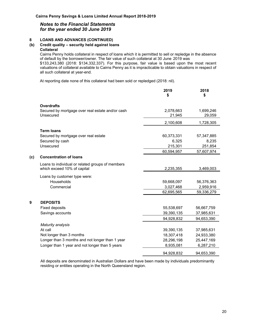#### **8 LOANS AND ADVANCES (CONTINUED)**

#### **(b) Credit quality – security held against loans Collateral**

Cairns Penny holds collateral in respect of loans which it is permitted to sell or repledge in the absence of default by the borrower/owner. The fair value of such collateral at 30 June 2019 was

\$133,243,380 (2018: \$134,332,337). For this purpose, fair value is based upon the most recent valuations of collateral available to Cairns Penny as it is impracticable to obtain valuations in respect of all such collateral at year-end.

At reporting date none of this collateral had been sold or repledged (2018: nil).

|     |                                                                                 | 2019<br>\$ | 2018<br>\$ |
|-----|---------------------------------------------------------------------------------|------------|------------|
|     | <b>Overdrafts</b>                                                               |            |            |
|     | Secured by mortgage over real estate and/or cash                                | 2,078,663  | 1,699,246  |
|     | Unsecured                                                                       | 21,945     | 29,059     |
|     |                                                                                 | 2,100,608  | 1,728,305  |
|     | <b>Term loans</b>                                                               |            |            |
|     | Secured by mortgage over real estate                                            | 60,373,331 | 57,347,885 |
|     | Secured by cash                                                                 | 6,325      | 8,235      |
|     | Unsecured                                                                       | 215,301    | 251,854    |
|     |                                                                                 | 60,594,957 | 57,607,974 |
| (c) | <b>Concentration of loans</b>                                                   |            |            |
|     | Loans to individual or related groups of members<br>which exceed 10% of capital | 2,235,355  | 3,469,003  |
|     | Loans by customer type were:                                                    |            |            |
|     | Households                                                                      | 59,668,097 | 56,376,363 |
|     | Commercial                                                                      | 3,027,468  | 2,959,916  |
|     |                                                                                 | 62,695,565 | 59,336,279 |
| 9   | <b>DEPOSITS</b>                                                                 |            |            |
|     | <b>Fixed deposits</b>                                                           | 55,538,697 | 56,667,759 |
|     | Savings accounts                                                                | 39,390,135 | 37,985,631 |
|     |                                                                                 | 94,928,832 | 94,653,390 |
|     | Maturity analysis                                                               |            |            |
|     | At call                                                                         | 39,390,135 | 37,985,631 |
|     | Not longer than 3 months                                                        | 18,307,418 | 24,933,380 |
|     | Longer than 3 months and not longer than 1 year                                 | 28,296,198 | 25,447,169 |
|     | Longer than 1 year and not longer than 5 years                                  | 8,935,081  | 6,287,210  |
|     |                                                                                 | 94,928,832 | 94,653,390 |

All deposits are denominated in Australian Dollars and have been made by individuals predominantly residing or entities operating in the North Queensland region.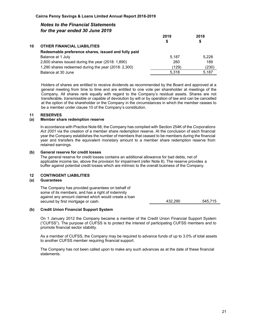|    |                                                     | 2019<br>S | 2018<br>\$ |
|----|-----------------------------------------------------|-----------|------------|
| 10 | <b>OTHER FINANCIAL LIABILITIES</b>                  |           |            |
|    | Redeemable preference shares, issued and fully paid |           |            |
|    | Balance at 1 July                                   | 5.187     | 5,228      |
|    | 2,600 shares issued during the year $(2018: 1,890)$ | 260       | 189        |
|    | 1,290 shares redeemed during the year (2018: 2,300) | (129)     | (230)      |
|    | Balance at 30 June                                  | 5.318     | 5.187      |
|    |                                                     |           |            |

Holders of shares are entitled to receive dividends as recommended by the Board and approved at a general meeting from time to time and are entitled to one vote per shareholder at meetings of the Company. All shares rank equally with regard to the Company's residual assets. Shares are not transferable, transmissible or capable of devolution by will or by operation of law and can be cancelled at the option of the shareholder or the Company in the circumstances in which the member ceases to be a member under clause 10 of the Company's constitution.

#### **11 RESERVES**

#### **(a) Member share redemption reserve**

In accordance with Practice Note 68, the Company has complied with Section 254K of the *Corporations Act 2001* via the creation of a member share redemption reserve. At the conclusion of each financial year the Company establishes the number of members that ceased to be members during the financial year and transfers the equivalent monetary amount to a member share redemption reserve from retained earnings.

#### **(b) General reserve for credit losses**

The general reserve for credit losses contains an additional allowance for bad debts, net of applicable income tax, above the provision for impairment (refer Note 8). The reserve provides a buffer against potential credit losses which are intrinsic to the overall business of the Company.

#### **12 CONTINGENT LIABILITIES**

#### **(a) Guarantees**

The Company has provided guarantees on behalf of some of its members, and has a right of indemnity against any amount claimed which would create a loan secured by first mortgage or cash. 432,290 545,715

#### **(b) Credit Union Financial Support System**

On 1 January 2012 the Company became a member of the Credit Union Financial Support System ("CUFSS"). The purpose of CUFSS is to protect the interest of participating CUFSS members and to promote financial sector stability.

As a member of CUFSS, the Company may be required to advance funds of up to 3.0% of total assets to another CUFSS member requiring financial support.

The Company has not been called upon to make any such advances as at the date of these financial statements.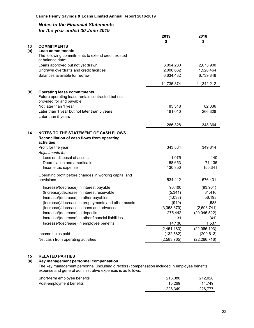| 13<br><b>COMMITMENTS</b><br>(a)<br><b>Loan commitments</b><br>The following commitments to extend credit existed<br>at balance date:<br>Loans approved but not yet drawn<br>2,673,900<br>3,094,280<br>Undrawn overdrafts and credit facilities<br>2,006,662<br>1,928,464<br>Balances available for redraw<br>6,634,432<br>6,739,848<br>11,735,374<br>11,342,212<br><b>Operating lease commitments</b><br>(b)<br>Future operating lease rentals contracted but not<br>provided for and payable:<br>Not later than 1 year<br>85,318<br>82,036<br>Later than 1 year but not later than 5 years<br>266,328<br>181,010<br>Later than 5 years<br>266,328<br>348,364<br>14<br><b>NOTES TO THE STATEMENT OF CASH FLOWS</b><br>Reconciliation of cash flows from operating<br>activities<br>349,814<br>Profit for the year<br>343,834<br>Adjustments for:<br>Loss on disposal of assets<br>1,075<br>140<br>Depreciation and amortisation<br>58,653<br>71,136<br>130,850<br>155,341<br>Income tax expense<br>Operating profit before changes in working capital and<br>provisions<br>534,412<br>576,431<br>Increase/(decrease) in interest payable<br>90,400<br>(93, 964)<br>(Increase)/decrease in interest receivable<br>(5, 341)<br>31,416<br>Increase/(decrease) in other payables<br>(1,038)<br>56,193<br>(Increase)/decrease in prepayments and other assets<br>1,588<br>(949)<br>(3,358,370)<br>(Increase)/decrease in loans and advances<br>(2,593,741)<br>Increase/(decrease) in deposits<br>275,442<br>(20,045,522)<br>Increase/(decrease) in other financial liabilities<br>131<br>(41)<br>Increase/(decrease) in employee benefits<br>14,130<br>1,537<br>(2,451,183)<br>(22,066,103)<br>(132, 582)<br>(200, 613)<br>Income taxes paid<br>(2,583,765)<br>Net cash from operating activities<br>(22, 266, 716) |  | 2019 | 2018 |
|----------------------------------------------------------------------------------------------------------------------------------------------------------------------------------------------------------------------------------------------------------------------------------------------------------------------------------------------------------------------------------------------------------------------------------------------------------------------------------------------------------------------------------------------------------------------------------------------------------------------------------------------------------------------------------------------------------------------------------------------------------------------------------------------------------------------------------------------------------------------------------------------------------------------------------------------------------------------------------------------------------------------------------------------------------------------------------------------------------------------------------------------------------------------------------------------------------------------------------------------------------------------------------------------------------------------------------------------------------------------------------------------------------------------------------------------------------------------------------------------------------------------------------------------------------------------------------------------------------------------------------------------------------------------------------------------------------------------------------------------------------------------------------------------------------------|--|------|------|
|                                                                                                                                                                                                                                                                                                                                                                                                                                                                                                                                                                                                                                                                                                                                                                                                                                                                                                                                                                                                                                                                                                                                                                                                                                                                                                                                                                                                                                                                                                                                                                                                                                                                                                                                                                                                                |  | \$   | \$   |
|                                                                                                                                                                                                                                                                                                                                                                                                                                                                                                                                                                                                                                                                                                                                                                                                                                                                                                                                                                                                                                                                                                                                                                                                                                                                                                                                                                                                                                                                                                                                                                                                                                                                                                                                                                                                                |  |      |      |
|                                                                                                                                                                                                                                                                                                                                                                                                                                                                                                                                                                                                                                                                                                                                                                                                                                                                                                                                                                                                                                                                                                                                                                                                                                                                                                                                                                                                                                                                                                                                                                                                                                                                                                                                                                                                                |  |      |      |
|                                                                                                                                                                                                                                                                                                                                                                                                                                                                                                                                                                                                                                                                                                                                                                                                                                                                                                                                                                                                                                                                                                                                                                                                                                                                                                                                                                                                                                                                                                                                                                                                                                                                                                                                                                                                                |  |      |      |
|                                                                                                                                                                                                                                                                                                                                                                                                                                                                                                                                                                                                                                                                                                                                                                                                                                                                                                                                                                                                                                                                                                                                                                                                                                                                                                                                                                                                                                                                                                                                                                                                                                                                                                                                                                                                                |  |      |      |
|                                                                                                                                                                                                                                                                                                                                                                                                                                                                                                                                                                                                                                                                                                                                                                                                                                                                                                                                                                                                                                                                                                                                                                                                                                                                                                                                                                                                                                                                                                                                                                                                                                                                                                                                                                                                                |  |      |      |
|                                                                                                                                                                                                                                                                                                                                                                                                                                                                                                                                                                                                                                                                                                                                                                                                                                                                                                                                                                                                                                                                                                                                                                                                                                                                                                                                                                                                                                                                                                                                                                                                                                                                                                                                                                                                                |  |      |      |
|                                                                                                                                                                                                                                                                                                                                                                                                                                                                                                                                                                                                                                                                                                                                                                                                                                                                                                                                                                                                                                                                                                                                                                                                                                                                                                                                                                                                                                                                                                                                                                                                                                                                                                                                                                                                                |  |      |      |
|                                                                                                                                                                                                                                                                                                                                                                                                                                                                                                                                                                                                                                                                                                                                                                                                                                                                                                                                                                                                                                                                                                                                                                                                                                                                                                                                                                                                                                                                                                                                                                                                                                                                                                                                                                                                                |  |      |      |
|                                                                                                                                                                                                                                                                                                                                                                                                                                                                                                                                                                                                                                                                                                                                                                                                                                                                                                                                                                                                                                                                                                                                                                                                                                                                                                                                                                                                                                                                                                                                                                                                                                                                                                                                                                                                                |  |      |      |
|                                                                                                                                                                                                                                                                                                                                                                                                                                                                                                                                                                                                                                                                                                                                                                                                                                                                                                                                                                                                                                                                                                                                                                                                                                                                                                                                                                                                                                                                                                                                                                                                                                                                                                                                                                                                                |  |      |      |
|                                                                                                                                                                                                                                                                                                                                                                                                                                                                                                                                                                                                                                                                                                                                                                                                                                                                                                                                                                                                                                                                                                                                                                                                                                                                                                                                                                                                                                                                                                                                                                                                                                                                                                                                                                                                                |  |      |      |
|                                                                                                                                                                                                                                                                                                                                                                                                                                                                                                                                                                                                                                                                                                                                                                                                                                                                                                                                                                                                                                                                                                                                                                                                                                                                                                                                                                                                                                                                                                                                                                                                                                                                                                                                                                                                                |  |      |      |
|                                                                                                                                                                                                                                                                                                                                                                                                                                                                                                                                                                                                                                                                                                                                                                                                                                                                                                                                                                                                                                                                                                                                                                                                                                                                                                                                                                                                                                                                                                                                                                                                                                                                                                                                                                                                                |  |      |      |
|                                                                                                                                                                                                                                                                                                                                                                                                                                                                                                                                                                                                                                                                                                                                                                                                                                                                                                                                                                                                                                                                                                                                                                                                                                                                                                                                                                                                                                                                                                                                                                                                                                                                                                                                                                                                                |  |      |      |
|                                                                                                                                                                                                                                                                                                                                                                                                                                                                                                                                                                                                                                                                                                                                                                                                                                                                                                                                                                                                                                                                                                                                                                                                                                                                                                                                                                                                                                                                                                                                                                                                                                                                                                                                                                                                                |  |      |      |
|                                                                                                                                                                                                                                                                                                                                                                                                                                                                                                                                                                                                                                                                                                                                                                                                                                                                                                                                                                                                                                                                                                                                                                                                                                                                                                                                                                                                                                                                                                                                                                                                                                                                                                                                                                                                                |  |      |      |
|                                                                                                                                                                                                                                                                                                                                                                                                                                                                                                                                                                                                                                                                                                                                                                                                                                                                                                                                                                                                                                                                                                                                                                                                                                                                                                                                                                                                                                                                                                                                                                                                                                                                                                                                                                                                                |  |      |      |
|                                                                                                                                                                                                                                                                                                                                                                                                                                                                                                                                                                                                                                                                                                                                                                                                                                                                                                                                                                                                                                                                                                                                                                                                                                                                                                                                                                                                                                                                                                                                                                                                                                                                                                                                                                                                                |  |      |      |
|                                                                                                                                                                                                                                                                                                                                                                                                                                                                                                                                                                                                                                                                                                                                                                                                                                                                                                                                                                                                                                                                                                                                                                                                                                                                                                                                                                                                                                                                                                                                                                                                                                                                                                                                                                                                                |  |      |      |
|                                                                                                                                                                                                                                                                                                                                                                                                                                                                                                                                                                                                                                                                                                                                                                                                                                                                                                                                                                                                                                                                                                                                                                                                                                                                                                                                                                                                                                                                                                                                                                                                                                                                                                                                                                                                                |  |      |      |
|                                                                                                                                                                                                                                                                                                                                                                                                                                                                                                                                                                                                                                                                                                                                                                                                                                                                                                                                                                                                                                                                                                                                                                                                                                                                                                                                                                                                                                                                                                                                                                                                                                                                                                                                                                                                                |  |      |      |
|                                                                                                                                                                                                                                                                                                                                                                                                                                                                                                                                                                                                                                                                                                                                                                                                                                                                                                                                                                                                                                                                                                                                                                                                                                                                                                                                                                                                                                                                                                                                                                                                                                                                                                                                                                                                                |  |      |      |
|                                                                                                                                                                                                                                                                                                                                                                                                                                                                                                                                                                                                                                                                                                                                                                                                                                                                                                                                                                                                                                                                                                                                                                                                                                                                                                                                                                                                                                                                                                                                                                                                                                                                                                                                                                                                                |  |      |      |
|                                                                                                                                                                                                                                                                                                                                                                                                                                                                                                                                                                                                                                                                                                                                                                                                                                                                                                                                                                                                                                                                                                                                                                                                                                                                                                                                                                                                                                                                                                                                                                                                                                                                                                                                                                                                                |  |      |      |
|                                                                                                                                                                                                                                                                                                                                                                                                                                                                                                                                                                                                                                                                                                                                                                                                                                                                                                                                                                                                                                                                                                                                                                                                                                                                                                                                                                                                                                                                                                                                                                                                                                                                                                                                                                                                                |  |      |      |
|                                                                                                                                                                                                                                                                                                                                                                                                                                                                                                                                                                                                                                                                                                                                                                                                                                                                                                                                                                                                                                                                                                                                                                                                                                                                                                                                                                                                                                                                                                                                                                                                                                                                                                                                                                                                                |  |      |      |
|                                                                                                                                                                                                                                                                                                                                                                                                                                                                                                                                                                                                                                                                                                                                                                                                                                                                                                                                                                                                                                                                                                                                                                                                                                                                                                                                                                                                                                                                                                                                                                                                                                                                                                                                                                                                                |  |      |      |
|                                                                                                                                                                                                                                                                                                                                                                                                                                                                                                                                                                                                                                                                                                                                                                                                                                                                                                                                                                                                                                                                                                                                                                                                                                                                                                                                                                                                                                                                                                                                                                                                                                                                                                                                                                                                                |  |      |      |
|                                                                                                                                                                                                                                                                                                                                                                                                                                                                                                                                                                                                                                                                                                                                                                                                                                                                                                                                                                                                                                                                                                                                                                                                                                                                                                                                                                                                                                                                                                                                                                                                                                                                                                                                                                                                                |  |      |      |
|                                                                                                                                                                                                                                                                                                                                                                                                                                                                                                                                                                                                                                                                                                                                                                                                                                                                                                                                                                                                                                                                                                                                                                                                                                                                                                                                                                                                                                                                                                                                                                                                                                                                                                                                                                                                                |  |      |      |
|                                                                                                                                                                                                                                                                                                                                                                                                                                                                                                                                                                                                                                                                                                                                                                                                                                                                                                                                                                                                                                                                                                                                                                                                                                                                                                                                                                                                                                                                                                                                                                                                                                                                                                                                                                                                                |  |      |      |
|                                                                                                                                                                                                                                                                                                                                                                                                                                                                                                                                                                                                                                                                                                                                                                                                                                                                                                                                                                                                                                                                                                                                                                                                                                                                                                                                                                                                                                                                                                                                                                                                                                                                                                                                                                                                                |  |      |      |
|                                                                                                                                                                                                                                                                                                                                                                                                                                                                                                                                                                                                                                                                                                                                                                                                                                                                                                                                                                                                                                                                                                                                                                                                                                                                                                                                                                                                                                                                                                                                                                                                                                                                                                                                                                                                                |  |      |      |
|                                                                                                                                                                                                                                                                                                                                                                                                                                                                                                                                                                                                                                                                                                                                                                                                                                                                                                                                                                                                                                                                                                                                                                                                                                                                                                                                                                                                                                                                                                                                                                                                                                                                                                                                                                                                                |  |      |      |
|                                                                                                                                                                                                                                                                                                                                                                                                                                                                                                                                                                                                                                                                                                                                                                                                                                                                                                                                                                                                                                                                                                                                                                                                                                                                                                                                                                                                                                                                                                                                                                                                                                                                                                                                                                                                                |  |      |      |
|                                                                                                                                                                                                                                                                                                                                                                                                                                                                                                                                                                                                                                                                                                                                                                                                                                                                                                                                                                                                                                                                                                                                                                                                                                                                                                                                                                                                                                                                                                                                                                                                                                                                                                                                                                                                                |  |      |      |
|                                                                                                                                                                                                                                                                                                                                                                                                                                                                                                                                                                                                                                                                                                                                                                                                                                                                                                                                                                                                                                                                                                                                                                                                                                                                                                                                                                                                                                                                                                                                                                                                                                                                                                                                                                                                                |  |      |      |

#### **15 RELATED PARTIES**

#### **(a) Key management personnel compensation**

The key management personnel (including directors) compensation included in employee benefits expense and general administrative expenses is as follows:

| Short-term employee benefits | 213,080 | 212.028 |
|------------------------------|---------|---------|
| Post-employment benefits     | 15.269  | 14.749  |
|                              | 228.349 | 226.777 |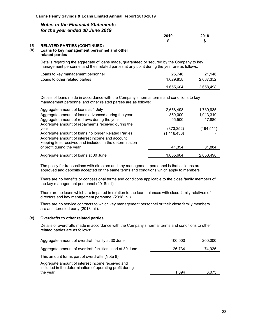| 2019   | 2018 |
|--------|------|
| ́<br>Ð |      |

#### **15 RELATED PARTIES (CONTINUED) (b) Loans to key management personnel and other**

#### **related parties**

Details regarding the aggregate of loans made, guaranteed or secured by the Company to key management personnel and their related parties at any point during the year are as follows:

| Loans to key management personnel | 25.746    | 21.146    |
|-----------------------------------|-----------|-----------|
| Loans to other related parties    | 1.629.858 | 2,637,352 |
|                                   | 1.655.604 | 2,658,498 |

Details of loans made in accordance with the Company's normal terms and conditions to key management personnel and other related parties are as follows:

| Aggregate amount of loans at 1 July                     | 2,658,498     | 1,739,935  |
|---------------------------------------------------------|---------------|------------|
| Aggregate amount of loans advanced during the year      | 350.000       | 1,013,310  |
| Aggregate amount of redraws during the year             | 95,500        | 17,880     |
| Aggregate amount of repayments received during the      |               |            |
| year                                                    | (373, 352)    | (194, 511) |
| Aggregate amount of loans no longer Related Parties     | (1, 116, 436) |            |
| Aggregate amount of interest income and account         |               |            |
| keeping fees received and included in the determination |               |            |
| of profit during the year                               | 41.394        | 81,884     |
| Aggregate amount of loans at 30 June                    | 1.655.604     | 2,658,498  |
|                                                         |               |            |

The policy for transactions with directors and key management personnel is that all loans are approved and deposits accepted on the same terms and conditions which apply to members.

There are no benefits or concessional terms and conditions applicable to the close family members of the key management personnel (2018: nil).

There are no loans which are impaired in relation to the loan balances with close family relatives of directors and key management personnel (2018: nil).

There are no service contracts to which key management personnel or their close family members are an interested party (2018: nil).

#### **(c) Overdrafts to other related parties**

Details of overdrafts made in accordance with the Company's normal terms and conditions to other related parties are as follows:

| Aggregate amount of overdraft facility at 30 June                                                                        | 100,000 | 200,000 |
|--------------------------------------------------------------------------------------------------------------------------|---------|---------|
| Aggregate amount of overdraft facilities used at 30 June                                                                 | 26,734  | 74,925  |
| This amount forms part of overdrafts (Note 8)                                                                            |         |         |
| Aggregate amount of interest income received and<br>included in the determination of operating profit during<br>the year | 1.394   | 6,073   |
|                                                                                                                          |         |         |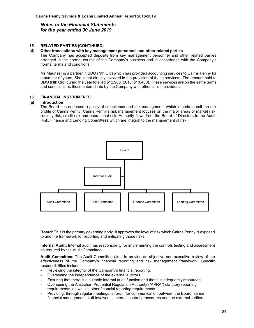#### **15 RELATED PARTIES (CONTINUED)**

#### **(d) Other transactions with key management personnel and other related parties**

The Company has accepted deposits from key management personnel and other related parties arranged in the normal course of the Company's business and in accordance with the Company's normal terms and conditions.

Ms Maunsell is a partner in BDO (Nth Qld) which has provided accounting services to Cairns Penny for a number of years. She is not directly involved in the provision of these services. The amount paid to BDO (Nth Qld) during the year totalled \$12,900 (2018: \$13,400). These services are on the same terms and conditions as those entered into by the Company with other similar providers.

#### **16 FINANCIAL INSTRUMENTS**

#### **(a) Introduction**

The Board has endorsed a policy of compliance and risk management which intends to suit the risk profile of Cairns Penny. Cairns Penny's risk management focuses on the major areas of market risk, liquidity risk, credit risk and operational risk. Authority flows from the Board of Directors to the Audit, Risk, Finance and Lending Committees which are integral to the management of risk.



**Board:** This is the primary governing body. It approves the level of risk which Cairns Penny is exposed to and the framework for reporting and mitigating those risks.

**Internal Audit:** Internal audit has responsibility for implementing the controls testing and assessment as required by the Audit Committee.

**Audit Committee:** The Audit Committee aims to provide an objective non-executive review of the effectiveness of the Company's financial reporting and risk management framework. Specific responsibilities include:

- Reviewing the integrity of the Company's financial reporting.
- Overseeing the independence of the external auditors.
- Ensuring that there is a suitable internal audit function and that it is adequately resourced.
- Overseeing the Australian Prudential Regulation Authority ("APRA") statutory reporting requirements, as well as other financial reporting requirements.
- Providing, through regular meetings, a forum for communication between the Board, senior financial management staff involved in internal control procedures and the external auditors.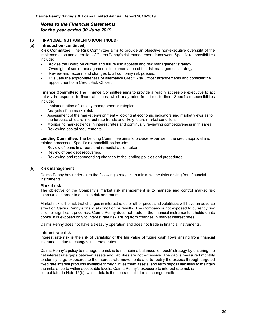#### **16 FINANCIAL INSTRUMENTS (CONTINUED)**

#### **(a) Introduction (continued)**

**Risk Committee:** The Risk Committee aims to provide an objective non-executive oversight of the implementation and operation of Cairns Penny's risk management framework. Specific responsibilities include:

- Advise the Board on current and future risk appetite and risk management strategy.
- Oversight of senior management's implementation of the risk management strategy.
- Review and recommend changes to all company risk policies.
- Evaluate the appropriateness of alternative Credit Risk Officer arrangements and consider the appointment of a Credit Risk Officer.

**Finance Committee:** The Finance Committee aims to provide a readily accessible executive to act quickly in response to financial issues, which may arise from time to time. Specific responsibilities include:

- Implementation of liquidity management strategies.
- Analysis of the market risk.
- Assessment of the market environment looking at economic indicators and market views as to the forecast of future interest rate trends and likely future market conditions.
- Monitoring market trends in interest rates and continually reviewing competitiveness in this area.
- Reviewing capital requirements.

**Lending Committee:** The Lending Committee aims to provide expertise in the credit approval and related processes. Specific responsibilities include:

- Review of loans in arrears and remedial action taken.
- Review of bad debt recoveries.
- Reviewing and recommending changes to the lending policies and procedures.

#### **(b) Risk management**

Cairns Penny has undertaken the following strategies to minimise the risks arising from financial instruments.

#### **Market risk**

The objective of the Company's market risk management is to manage and control market risk exposures in order to optimise risk and return.

Market risk is the risk that changes in interest rates or other prices and volatilities will have an adverse effect on Cairns Penny's financial condition or results. The Company is not exposed to currency risk or other significant price risk. Cairns Penny does not trade in the financial instruments it holds on its books. It is exposed only to interest rate risk arising from changes in market interest rates.

Cairns Penny does not have a treasury operation and does not trade in financial instruments.

#### **Interest rate risk**

Interest rate risk is the risk of variability of the fair value of future cash flows arising from financial instruments due to changes in interest rates.

Cairns Penny's policy to manage the risk is to maintain a balanced 'on book' strategy by ensuring the net interest rate gaps between assets and liabilities are not excessive. The gap is measured monthly to identify large exposures to the interest rate movements and to rectify the excess through targeted fixed rate interest products available through investment assets, and term deposit liabilities to maintain the imbalance to within acceptable levels. Cairns Penny's exposure to interest rate risk is set out later in Note 16(b), which details the contractual interest change profile.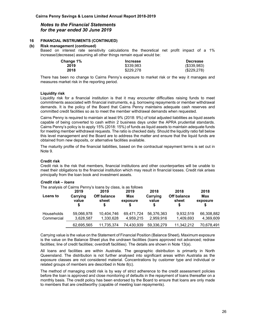#### **16 FINANCIAL INSTRUMENTS (CONTINUED)**

#### **(b) Risk management (continued)**

Based on interest rate sensitivity calculations the theoretical net profit impact of a 1% increase/(decrease) assuming all other things remain equal would be:

| Change 1% | <b>Increase</b> | <b>Decrease</b> |
|-----------|-----------------|-----------------|
| 2019      | \$339.983       | $($ \$339,983)  |
| 2018      | \$229,278       | (\$229,278)     |

There has been no change to Cairns Penny's exposure to market risk or the way it manages and measures market risk in the reporting period.

#### **Liquidity risk**

Liquidity risk for a financial institution is that it may encounter difficulties raising funds to meet commitments associated with financial instruments, e.g. borrowing repayments or member withdrawal demands. It is the policy of the Board that Cairns Penny maintains adequate cash reserves and committed credit facilities so as to meet the member withdrawal demands when requested.

Cairns Penny is required to maintain at least 9% (2018: 9%) of total adjusted liabilities as liquid assets capable of being converted to cash within 2 business days under the APRA prudential standards. Cairns Penny's policy is to apply 15% (2018: 15%) of funds as liquid assets to maintain adequate funds for meeting member withdrawal requests. The ratio is checked daily. Should the liquidity ratio fall below this level management and the Board are to address the matter and ensure that the liquid funds are obtained from new deposits, or alternative facilities available.

The maturity profile of the financial liabilities, based on the contractual repayment terms is set out in Note 9.

#### **Credit risk**

Credit risk is the risk that members, financial institutions and other counterparties will be unable to meet their obligations to the financial institution which may result in financial losses. Credit risk arises principally from the loan book and investment assets.

#### *Credit risk – loans*

|                                 | 2019                    | The analysis of Cairns Penny's loans by class, is as follows<br>2019 | 2019                    | 2018                    | 2018                             | 2018                    |
|---------------------------------|-------------------------|----------------------------------------------------------------------|-------------------------|-------------------------|----------------------------------|-------------------------|
| Loans to                        | Carrying<br>value<br>S  | <b>Off balance</b><br>sheet<br>S                                     | Max<br>exposure         | Carrying<br>value       | <b>Off balance</b><br>sheet<br>S | Max<br>exposure         |
| <b>Households</b><br>Commercial | 59.066.978<br>3,628,587 | 10.404.746<br>1,330,628                                              | 69.471.724<br>4,959,215 | 56.376.363<br>2,959,916 | 9.932.519<br>1,409,693           | 66,308,882<br>4,369,609 |
|                                 | 62,695,565              | 11,735,374                                                           | 74.430.939              | 59.336.279              | 11.342.212                       | 70.678.491              |

Carrying value is the value on the Statement of Financial Position (Balance Sheet)**.** Maximum exposure is the value on the Balance Sheet plus the undrawn facilities (loans approved not advanced; redraw facilities; line of credit facilities; overdraft facilities). The details are shown in Note 13(a).

All loans and facilities are within Australia. The geographic distribution is primarily in North Queensland. The distribution is not further analysed into significant areas within Australia as the exposure classes are not considered material. Concentrations by customer type and individual or related groups of members are described in Note 8(c).

The method of managing credit risk is by way of strict adherence to the credit assessment policies before the loan is approved and close monitoring of defaults in the repayment of loans thereafter on a monthly basis. The credit policy has been endorsed by the Board to ensure that loans are only made to members that are creditworthy (capable of meeting loan repayments).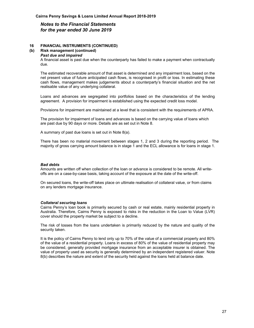#### **16 FINANCIAL INSTRUMENTS (CONTINUED)**

#### **(b) Risk management (continued)**

#### *Past due and impaired*

A financial asset is past due when the counterparty has failed to make a payment when contractually due.

The estimated recoverable amount of that asset is determined and any impairment loss, based on the net present value of future anticipated cash flows, is recognised in profit or loss. In estimating these cash flows, management makes judgements about a counterparty's financial situation and the net realisable value of any underlying collateral.

Loans and advances are segregated into portfolios based on the characteristics of the lending agreement. A provision for impairment is established using the expected credit loss model.

Provisions for impairment are maintained at a level that is consistent with the requirements of APRA.

The provision for impairment of loans and advances is based on the carrying value of loans which are past due by 90 days or more. Details are as set out in Note 8.

A summary of past due loans is set out in Note 8(a).

There has been no material movement between stages 1, 2 and 3 during the reporting period. The majority of gross carrying amount balance is in stage 1 and the ECL allowance is for loans in stage 1.

#### *Bad debts*

Amounts are written off when collection of the loan or advance is considered to be remote. All writeoffs are on a case-by-case basis, taking account of the exposure at the date of the write-off.

On secured loans, the write-off takes place on ultimate realisation of collateral value, or from claims on any lenders mortgage insurance.

#### *Collateral securing loans*

Cairns Penny's loan book is primarily secured by cash or real estate, mainly residential property in Australia. Therefore, Cairns Penny is exposed to risks in the reduction in the Loan to Value (LVR) cover should the property market be subject to a decline.

The risk of losses from the loans undertaken is primarily reduced by the nature and quality of the security taken.

It is the policy of Cairns Penny to lend only up to 70% of the value of a commercial property and 80% of the value of a residential property. Loans in excess of 80% of the value of residential property may be considered, generally provided mortgage insurance from an acceptable insurer is obtained. The value of property used as security is generally determined by an independent registered valuer. Note 8(b) describes the nature and extent of the security held against the loans held at balance date.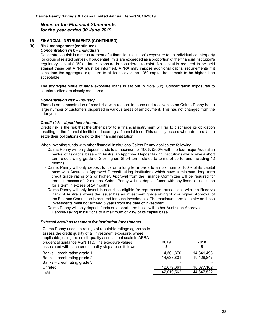#### **16 FINANCIAL INSTRUMENTS (CONTINUED)**

#### **(b) Risk management (continued)**

#### *Concentration risk – individuals*

Concentration risk is a measurement of a financial institution's exposure to an individual counterparty (or group of related parties). If prudential limits are exceeded as a proportion of the financial institution's regulatory capital (10%) a large exposure is considered to exist. No capital is required to be held against these but APRA must be informed. APRA may impose additional capital requirements if it considers the aggregate exposure to all loans over the 10% capital benchmark to be higher than acceptable.

The aggregate value of large exposure loans is set out in Note  $8(c)$ . Concentration exposures to counterparties are closely monitored.

#### *Concentration risk – industry*

There is no concentration of credit risk with respect to loans and receivables as Cairns Penny has a large number of customers dispersed in various areas of employment. This has not changed from the prior year.

#### *Credit risk – liquid investments*

Credit risk is the risk that the other party to a financial instrument will fail to discharge its obligation resulting in the financial institution incurring a financial loss. This usually occurs when debtors fail to settle their obligations owing to the financial institution.

When investing funds with other financial institutions Cairns Penny applies the following:

- Cairns Penny will only deposit funds to a maximum of 100% (200% with the four major Australian banks) of its capital base with Australian Approved Deposit taking Institutions which have a short term credit rating grade of 2 or higher. Short term relates to terms of up to, and including 12 months.
- Cairns Penny will only deposit funds on a long term basis to a maximum of 100% of its capital base with Australian Approved Deposit taking Institutions which have a minimum long term credit grade rating of 2 or higher. Approval from the Finance Committee will be required for terms in excess of 12 months. Cairns Penny will not deposit funds with any financial institution for a term in excess of 24 months.
- Cairns Penny will only invest in securities eligible for repurchase transactions with the Reserve Bank of Australia where the issuer has an investment grade rating of 2 or higher. Approval of the Finance Committee is required for such investments. The maximum term to expiry on these investments must not exceed 5 years from the date of investment.
- Cairns Penny will only deposit funds on a short term basis with other Australian Approved Deposit-Taking Institutions to a maximum of 20% of its capital base.

#### *External credit assessment for institution investments*

| Cairns Penny uses the ratings of reputable ratings agencies to<br>assess the credit quality of all investment exposure, where<br>applicable, using the credit quality assessment scale in APRA<br>prudential guidance AGN 112. The exposure values<br>associated with each credit quality step are as follows: | 2019<br>S  | 2018       |
|----------------------------------------------------------------------------------------------------------------------------------------------------------------------------------------------------------------------------------------------------------------------------------------------------------------|------------|------------|
| Banks – credit rating grade 1                                                                                                                                                                                                                                                                                  | 14,501,370 | 14,341,493 |
| Banks - credit rating grade 2                                                                                                                                                                                                                                                                                  | 14.638.831 | 19.428.847 |
| Banks – credit rating grade 3                                                                                                                                                                                                                                                                                  |            |            |
| Unrated                                                                                                                                                                                                                                                                                                        | 12,879,361 | 10,877,182 |
| Total                                                                                                                                                                                                                                                                                                          | 42.019.562 | 44,647,522 |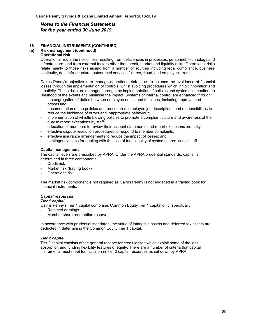#### **16 FINANCIAL INSTRUMENTS (CONTINUED)**

## **(b) Risk management (continued)**

#### **Operational risk**

Operational risk is the risk of loss resulting from deficiencies in processes, personnel, technology and infrastructure, and from external factors other than credit, market and liquidity risks. Operational risks relate mainly to those risks arising from a number of sources including legal compliance, business continuity, data infrastructure, outsourced services failures, fraud, and employee errors.

Cairns Penny's objective is to manage operational risk so as to balance the avoidance of financial losses through the implementation of controls, whilst avoiding procedures which inhibit innovation and creativity. These risks are managed through the implementation of policies and systems to monitor the likelihood of the events and minimise the impact. Systems of internal control are enhanced through:

- the segregation of duties between employee duties and functions, including approval and processing;
- documentation of the policies and procedures, employee job descriptions and responsibilities to reduce the incidence of errors and inappropriate behaviour;
- implementation of whistle blowing policies to promote a compliant culture and awareness of the duty to report exceptions by staff;
- education of members to review their account statements and report exceptions promptly;
- effective dispute resolution procedures to respond to member complaints;
- effective insurance arrangements to reduce the impact of losses; and
- contingency plans for dealing with the loss of functionality of systems, premises or staff.

#### **Capital management**

The capital levels are prescribed by APRA. Under the APRA prudential standards, capital is determined in three components:

- Credit risk
- Market risk (trading book)
- Operations risk.

The market risk component is not required as Cairns Penny is not engaged in a trading book for financial instruments.

#### *Capital resources*

#### *Tier 1 capital*

Cairns Penny's Tier 1 capital comprises Common Equity Tier 1 capital only, specifically:

- Retained earnings
- Member share redemption reserve.

In accordance with prudential standards, the value of intangible assets and deferred tax assets are deducted in determining the Common Equity Tier 1 capital.

#### *Tier 2 capital*

Tier 2 capital consists of the general reserve for credit losses which exhibit some of the loss absorption and funding flexibility features of equity. There are a number of criteria that capital instruments must meet for inclusion in Tier 2 capital resources as set down by APRA.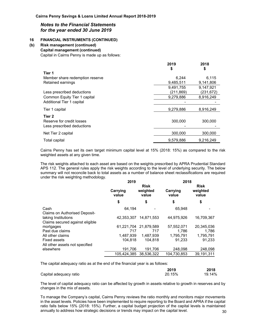#### **16 FINANCIAL INSTRUMENTS (CONTINUED)**

## **(b) Risk management (continued)**

 **Capital management (continued)**  Capital in Cairns Penny is made up as follows:

|                                 | 2019<br>\$ | 2018<br>\$ |
|---------------------------------|------------|------------|
| Tier 1                          |            |            |
| Member share redemption reserve | 6.244      | 6.115      |
| Retained earnings               | 9,485,511  | 9,141,806  |
|                                 | 9.491.755  | 9.147.921  |
| Less prescribed deductions      | (211,869)  | (231,672)  |
| Common Equity Tier 1 capital    | 9,279,886  | 8,916,249  |
| Additional Tier 1 capital       |            |            |
| Tier 1 capital                  | 9,279,886  | 8,916,249  |
| Tier <sub>2</sub>               |            |            |
| Reserve for credit losses       | 300,000    | 300,000    |
| Less prescribed deductions      |            |            |
| Net Tier 2 capital              | 300,000    | 300,000    |
| Total capital                   | 9,579,886  | 9,216,249  |

Cairns Penny has set its own target minimum capital level at 15% (2018: 15%) as compared to the risk weighted assets at any given time.

The risk weights attached to each asset are based on the weights prescribed by APRA Prudential Standard APS 112. The general rules apply the risk weights according to the level of underlying security. The below summary will not reconcile back to total assets as a number of balance sheet reclassifications are required under the risk weighting methodology.

|                                                        | 2019              |                                  | 2018              |                                  |  |
|--------------------------------------------------------|-------------------|----------------------------------|-------------------|----------------------------------|--|
|                                                        | Carrying<br>value | <b>Risk</b><br>weighted<br>value | Carrying<br>value | <b>Risk</b><br>weighted<br>value |  |
|                                                        | \$                | \$                               | \$                | \$                               |  |
| Cash<br><b>Claims on Authorised Deposit-</b>           | 64.194            |                                  | 65.948            |                                  |  |
| taking Institutions<br>Claims secured against eligible | 42.353.307        | 14.871.553                       | 44.975.926        | 16,709,367                       |  |
| mortgages                                              | 61.221.704        | 21.879.589                       | 57.552.071        | 20,345,036                       |  |
| Past due claims                                        | 717               | 717                              | 1.786             | 1,786                            |  |
| All other claims                                       | 1.487.939         | 1.487.939                        | 1,795,791         | 1,795,791                        |  |
| <b>Fixed assets</b>                                    | 104.818           | 104.818                          | 91.233            | 91.233                           |  |
| All other assets not specified<br>elsewhere            |                   |                                  |                   |                                  |  |
|                                                        | 191.706           | 191.706                          | 248,098           | 248,098                          |  |
|                                                        | 105.424.385       | 38.536.322                       | 104,730,853       | 39,191,311                       |  |

The capital adequacy ratio as at the end of the financial year is as follows:

|                        | 2019   | 2018   |
|------------------------|--------|--------|
| Capital adequacy ratio | 20.15% | 19.14% |

The level of capital adequacy ratio can be affected by growth in assets relative to growth in reserves and by changes in the mix of assets.

30 To manage the Company's capital, Cairns Penny reviews the ratio monthly and monitors major movements in the asset levels. Policies have been implemented to require reporting to the Board and APRA if the capital ratio falls below 15% (2018: 15%). Further, a capital budget projection of the capital levels is maintained annually to address how strategic decisions or trends may impact on the capital level.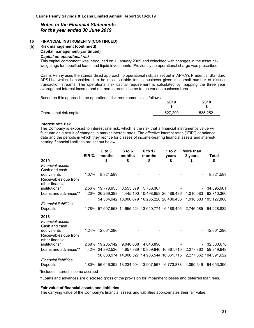#### **16 FINANCIAL INSTRUMENTS (CONTINUED)**

**(b) Risk management (continued)** 

#### **Capital management (continued)**

#### *Capital on operational risk*

This capital component was introduced on 1 January 2009 and coincided with changes in the asset risk weightings for specified loans and liquid investments. Previously no operational charge was prescribed.

Cairns Penny uses the standardised approach to operational risk, as set out in APRA's Prudential Standard APS114, which is considered to be most suitable for its business given the small number of distinct transaction streams. The operational risk capital requirement is calculated by mapping the three year average net interest income and net non-interest income to the various business lines.

**2019** 

**2018** 

Based on this approach, the operational risk requirement is as follows:

|                          | 20 I J  | 2010    |
|--------------------------|---------|---------|
| Operational risk capital | 527.299 | 535.252 |

#### **Interest rate risk**

The Company is exposed to interest rate risk, which is the risk that a financial instrument's value will fluctuate as a result of changes in market interest rates. The effective interest rates ("EIR") at balance date and the periods in which they reprice for classes of income-bearing financial assets and interestbearing financial liabilities are set out below:

|                                                        | EIR % | $0$ to $3$<br>months                                       | $3$ to $6$<br>months | 6 to 12<br>months | 1 to 2<br>years | More than<br>2 years | Total                                                             |
|--------------------------------------------------------|-------|------------------------------------------------------------|----------------------|-------------------|-----------------|----------------------|-------------------------------------------------------------------|
| 2019                                                   |       | \$                                                         | \$                   | \$                | \$              | \$                   | \$                                                                |
| <b>Financial assets</b><br>Cash and cash               |       |                                                            |                      |                   |                 |                      |                                                                   |
| equivalents<br>Receivables due from                    | 1.07% | 8,321,599                                                  |                      |                   |                 |                      | 8,321,599                                                         |
| other financial                                        |       |                                                            |                      |                   |                 |                      |                                                                   |
| institutions*                                          |       | 2.56% 19,773,955 8,555,579 5,766,367                       |                      |                   |                 |                      | 34,095,901                                                        |
| Loans and advances**                                   |       | 4.20% 26,269,388 4,445,100 10,498,853 20,486,436 1,010,583 |                      |                   |                 |                      | 62,710,360                                                        |
|                                                        |       |                                                            |                      |                   |                 |                      | 54,364,942 13,000,679 16,265,220 20,486,436 1,010,583 105,127,860 |
| <b>Financial liabilities</b><br>Deposits               |       | 1.78% 57,697,553 14,655,424 13,640,774 6,188,496 2,746,585 |                      |                   |                 |                      | 94,928,832                                                        |
| 2018<br><b>Financial assets</b><br>Cash and cash       |       |                                                            |                      |                   |                 |                      |                                                                   |
| equivalents<br>Receivables due from<br>other financial |       | 1.24% 12,661,296                                           |                      |                   |                 |                      | 12,661,296                                                        |
| institutions*                                          |       | 2.68% 19,285,142 9,048,638 4,046,898                       |                      |                   |                 |                      | 32,380,678                                                        |
| Loans and advances**                                   |       | 4.42% 24,892,536 4,957,889 10,859,646 16,361,715 2,277,862 |                      |                   |                 |                      | 59,349,648                                                        |
|                                                        |       |                                                            |                      |                   |                 |                      | 56,838,974 14,006,527 14,906,544 16,361,715 2,277,862 104,391,622 |
| <b>Financial liabilities</b>                           |       |                                                            |                      |                   |                 |                      |                                                                   |
| Deposits                                               |       | 1.80% 56,646,392 13,234,904 13,907,567 6,773,878           |                      |                   |                 | 4,090,649            | 94,653,390                                                        |
| tlaaludaa intoroot inaanoo aaaruad.                    |       |                                                            |                      |                   |                 |                      |                                                                   |

\*Includes interest income accrued

\*\*Loans and advances are disclosed gross of the provision for impairment losses and deferred loan fees.

#### **Fair value of financial assets and liabilities**

The carrying value of the Company's financial assets and liabilities approximates their fair value.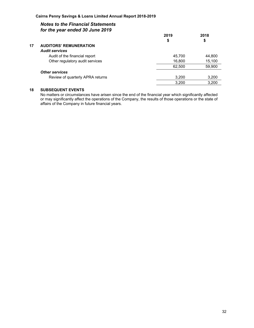|    |                                  | 2019   | 2018   |
|----|----------------------------------|--------|--------|
|    |                                  | \$     | \$     |
| 17 | <b>AUDITORS' REMUNERATION</b>    |        |        |
|    | <b>Audit services</b>            |        |        |
|    | Audit of the financial report    | 45,700 | 44,800 |
|    | Other regulatory audit services  | 16,800 | 15,100 |
|    |                                  | 62,500 | 59,900 |
|    | <b>Other services</b>            |        |        |
|    | Review of quarterly APRA returns | 3,200  | 3,200  |
|    |                                  | 3,200  | 3,200  |
|    |                                  |        |        |

#### **18 SUBSEQUENT EVENTS**

No matters or circumstances have arisen since the end of the financial year which significantly affected or may significantly affect the operations of the Company, the results of those operations or the state of affairs of the Company in future financial years.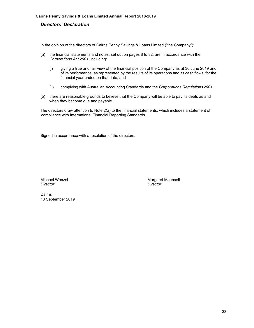#### *Directors' Declaration*

In the opinion of the directors of Cairns Penny Savings & Loans Limited ("the Company"):

- (a) the financial statements and notes, set out on pages 8 to 32, are in accordance with the *Corporations Act 2001*, including:
	- (i) giving a true and fair view of the financial position of the Company as at 30 June 2019 and of its performance, as represented by the results of its operations and its cash flows, for the financial year ended on that date; and
	- (ii) complying with Australian Accounting Standards and the *Corporations Regulations 2001*.
- (b) there are reasonable grounds to believe that the Company will be able to pay its debts as and when they become due and payable.

The directors draw attention to Note 2(a) to the financial statements, which includes a statement of compliance with International Financial Reporting Standards.

Signed in accordance with a resolution of the directors:

*Director Director* 

Michael Wenzel **Michael Wenzel** Margaret Maunsell

Cairns 10 September 2019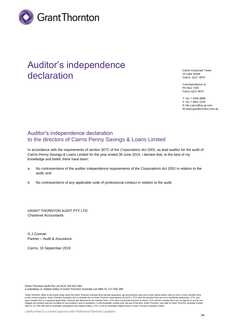

# Auditor's independence declaration

Cairns Corporate Tower 15 Lake Street Cairns QLD 4870

Correspondence to: PO Box 7200 Cairns QLD 4870

T +61 7 4046 8888 F +61 7 4051 0116 E info.cairns@au.gt.com W www.grantthornton.com.au

# Auditor's independence declaration to the directors of Cairns Penny Savings & Loans Limited

In accordance with the requirements of section 307C of the *Corporations Act 2001*, as lead auditor for the audit of Cairns Penny Savings & Loans Limited for the year ended 30 June 2019, I declare that, to the best of my knowledge and belief, there have been:

- a No contraventions of the auditor independence requirements of the *Corporations Act 2001* in relation to the audit; and
- b No contraventions of any applicable code of professional conduct in relation to the audit.

GRANT THORNTON AUDIT PTY LTD Chartered Accountants

G J Coonan Partner – Audit & Assurance

Cairns, 10 September 2019

Grant Thornton Audit Pty Ltd ACN 130 913 594

a subsidiary or related entity of Grant Thornton Australia Ltd ABN 41 127 556 389

'Grant Thomton' refers to the brand under which the Grant Thornton member firms provide assurance, tax and advisory services to their clients and/or refers to one or more member firms, as the context requires. Grant Thornton Australia Ltd is a member firm of Grant Thornton International Ltd (GTIL). GTIL and the member firms are not a worldwide partnership. GTIL and each member firm is a separate legal entity. Services are delivered by the member firms. GTIL does not provide services to clients. GTIL and its member firms are not agents of, and do not<br>obligate one another and are not l ABN 41 127 556 389 and its Australian subsidiaries and related entities. GTIL is not an Australian related entity to Grant Thornton Australia Limited.

Liability limited by a scheme approved under Professional Standards Legislation.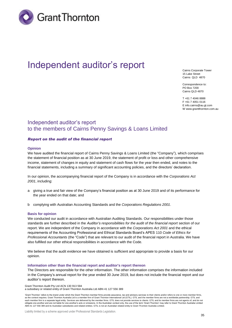

# Independent auditor's report

Cairns Corporate Tower 15 Lake Street Cairns QLD 4870

Correspondence to: PO Box 7200 Cairns QLD 4870

T +61 7 4046 8888 F +61 7 4051 0116 E info.cairns@au.gt.com W www.grantthornton.com.au

### Independent auditor's report to the members of Cairns Penny Savings & Loans Limited

#### *Report on the audit of the financial report*

#### **Opinion**

We have audited the financial report of Cairns Penny Savings & Loans Limited (the "Company"), which comprises the statement of financial position as at 30 June 2019, the statement of profit or loss and other comprehensive income, statement of changes in equity and statement of cash flows for the year then ended, and notes to the financial statements, including a summary of significant accounting policies, and the directors' declaration.

In our opinion, the accompanying financial report of the Company is in accordance with the *Corporations Act 2001*, including:

- a giving a true and fair view of the Company's financial position as at 30 June 2019 and of its performance for the year ended on that date; and
- b complying with Australian Accounting Standards and the *Corporations Regulations 2001*.

#### **Basis for opinion**

We conducted our audit in accordance with Australian Auditing Standards. Our responsibilities under those standards are further described in the *Auditor's responsibilities for the audit of the financial report* section of our report. We are independent of the Company in accordance with the *Corporations Act 2001* and the ethical requirements of the Accounting Professional and Ethical Standards Board's APES 110 *Code of Ethics for Professional Accountants* (the "Code") that are relevant to our audit of the financial report in Australia. We have also fulfilled our other ethical responsibilities in accordance with the Code.

We believe that the audit evidence we have obtained is sufficient and appropriate to provide a basis for our opinion.

#### **Information other than the financial report and auditor's report thereon**

The Directors are responsible for the other information. The other information comprises the information included in the Company's annual report for the year ended 30 June 2019, but does not include the financial report and our auditor's report thereon.

Grant Thornton Audit Pty Ltd ACN 130 913 594

a subsidiary or related entity of Grant Thornton Australia Ltd ABN 41 127 556 389

<sup>&#</sup>x27;Grant Thomton' refers to the brand under which the Grant Thornton member firms provide assurance, tax and advisory services to their clients and/or refers to one or more member firms, as the context requires. Grant Thornton Australia Ltd is a member firm of Grant Thornton International Ltd (GTIL). GTIL and the member firms are not a worldwide partnership. GTIL and each member firm is a separate legal entity. Services are delivered by the member firms. GTIL does not provide services to clients. GTIL and its member firms are not agents of, and do not<br>obligate one another and are not l ABN 41 127 556 389 and its Australian subsidiaries and related entities. GTIL is not an Australian related entity to Grant Thornton Australia Limited.